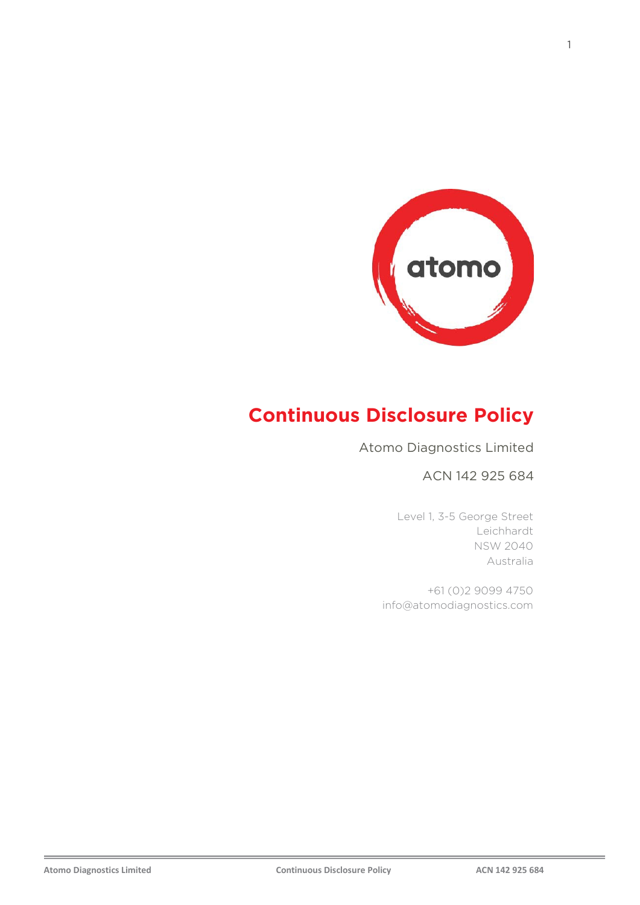

# **Continuous Disclosure Policy**

Atomo Diagnostics Limited

#### ACN 142 925 684

Level 1, 3-5 George Street Leichhardt NSW 2040 Australia

+61 (0)2 9099 4750 info@atomodiagnostics.com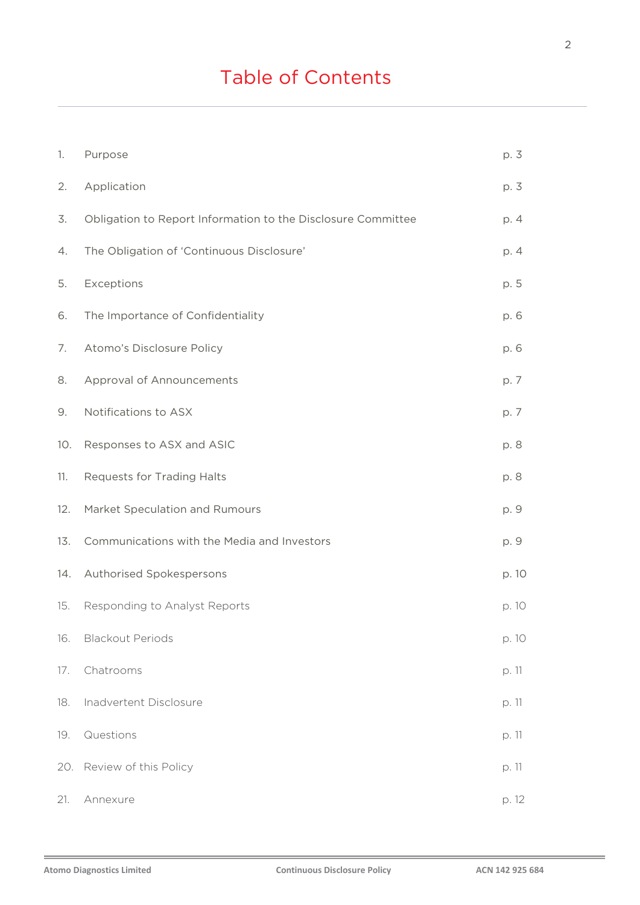# Table of Contents

| 1.  | Purpose                                                      | p. 3  |
|-----|--------------------------------------------------------------|-------|
| 2.  | Application                                                  | p. 3  |
| 3.  | Obligation to Report Information to the Disclosure Committee | p. 4  |
| 4.  | The Obligation of 'Continuous Disclosure'                    | p. 4  |
| 5.  | Exceptions                                                   | p. 5  |
| 6.  | The Importance of Confidentiality                            | p. 6  |
| 7.  | Atomo's Disclosure Policy                                    | p. 6  |
| 8.  | Approval of Announcements                                    | p. 7  |
| 9.  | Notifications to ASX                                         | p. 7  |
| 10. | Responses to ASX and ASIC                                    | p. 8  |
| 11. | Requests for Trading Halts                                   | p. 8  |
| 12. | Market Speculation and Rumours                               | p. 9  |
| 13. | Communications with the Media and Investors                  | p. 9  |
| 14. | Authorised Spokespersons                                     | p. 10 |
| 15. | Responding to Analyst Reports                                | p. 10 |
| 16. | <b>Blackout Periods</b>                                      | p. 10 |
| 17. | Chatrooms                                                    | p. 11 |
| 18. | Inadvertent Disclosure                                       | p. 11 |
| 19. | Questions                                                    | p. 11 |
| 20. | Review of this Policy                                        | p. 11 |
| 21. | Annexure                                                     | p. 12 |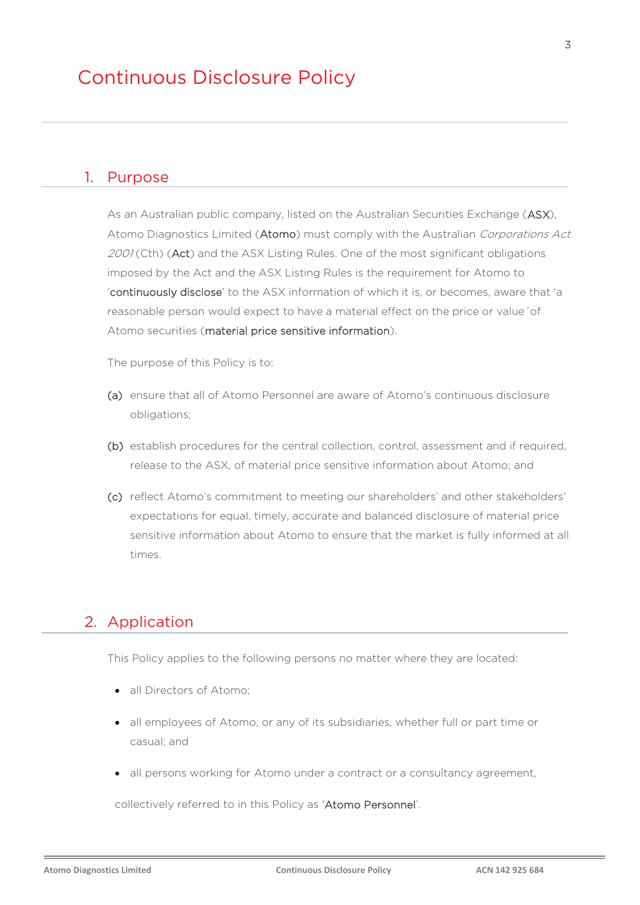#### 1. Purpose

As an Australian public company, listed on the Australian Securities Exchange (ASX), Atomo Diagnostics Limited (Atomo) must comply with the Australian Corporations Act 2001 (Cth) (Act) and the ASX Listing Rules. One of the most significant obligations imposed by the Act and the ASX Listing Rules is the requirement for Atomo to 'continuously disclose' to the ASX information of which it is, or becomes, aware that 'a reasonable person would expect to have a material effect on the price or value' of Atomo securities (material price sensitive information).

The purpose of this Policy is to:

- (a) ensure that all of Atomo Personnel are aware of Atomo's continuous disclosure obligations;
- (b) establish procedures for the central collection, control, assessment and if required, release to the ASX, of material price sensitive information about Atomo; and
- (c) reflect Atomo's commitment to meeting our shareholders' and other stakeholders' expectations for equal, timely, accurate and balanced disclosure of material price sensitive information about Atomo to ensure that the market is fully informed at all times.

## 2. Application

This Policy applies to the following persons no matter where they are located:

- all Directors of Atomo:
- all employees of Atomo, or any of its subsidiaries, whether full or part time or casual; and
- all persons working for Atomo under a contract or a consultancy agreement,

collectively referred to in this Policy as 'Atomo Personnel'.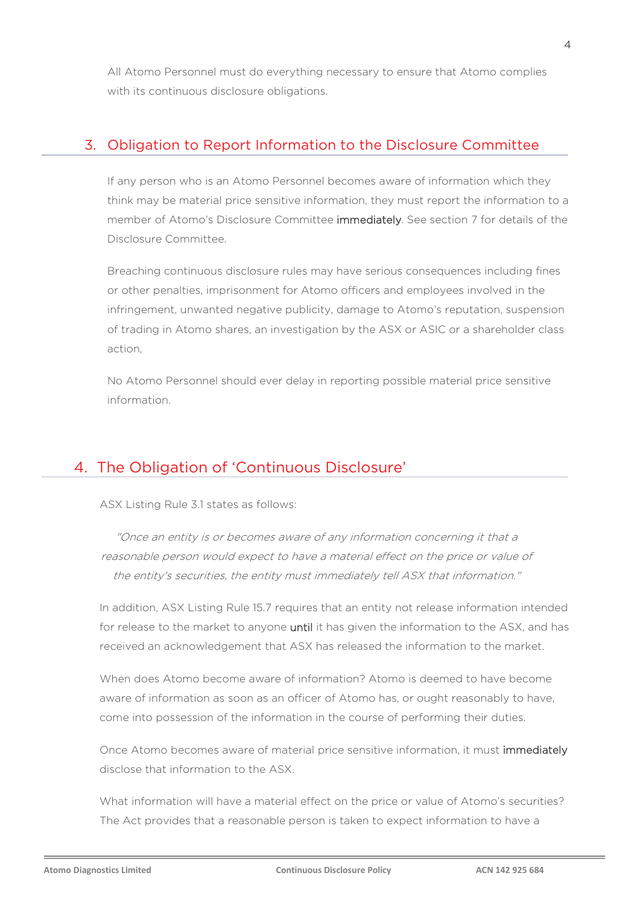All Atomo Personnel must do everything necessary to ensure that Atomo complies with its continuous disclosure obligations.

#### 3. Obligation to Report Information to the Disclosure Committee

If any person who is an Atomo Personnel becomes aware of information which they think may be material price sensitive information, they must report the information to a member of Atomo's Disclosure Committee immediately. See section 7 for details of the Disclosure Committee.

Breaching continuous disclosure rules may have serious consequences including fines or other penalties, imprisonment for Atomo officers and employees involved in the infringement, unwanted negative publicity, damage to Atomo's reputation, suspension of trading in Atomo shares, an investigation by the ASX or ASIC or a shareholder class action,

No Atomo Personnel should ever delay in reporting possible material price sensitive information.

## 4. The Obligation of 'Continuous Disclosure'

ASX Listing Rule 3.1 states as follows:

"Once an entity is or becomes aware of any information concerning it that a reasonable person would expect to have a material effect on the price or value of the entity's securities, the entity must immediately tell ASX that information."

In addition, ASX Listing Rule 15.7 requires that an entity not release information intended for release to the market to anyone until it has given the information to the ASX, and has received an acknowledgement that ASX has released the information to the market.

When does Atomo become aware of information? Atomo is deemed to have become aware of information as soon as an officer of Atomo has, or ought reasonably to have, come into possession of the information in the course of performing their duties.

Once Atomo becomes aware of material price sensitive information, it must immediately disclose that information to the ASX.

What information will have a material effect on the price or value of Atomo's securities? The Act provides that a reasonable person is taken to expect information to have a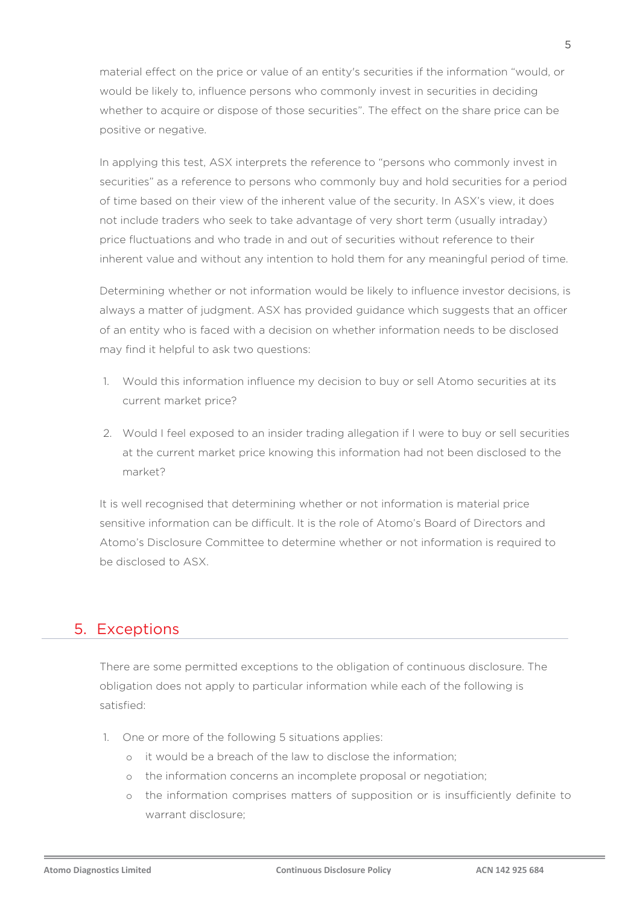material effect on the price or value of an entity's securities if the information "would, or would be likely to, influence persons who commonly invest in securities in deciding whether to acquire or dispose of those securities". The effect on the share price can be positive or negative.

In applying this test, ASX interprets the reference to "persons who commonly invest in securities" as a reference to persons who commonly buy and hold securities for a period of time based on their view of the inherent value of the security. In ASX's view, it does not include traders who seek to take advantage of very short term (usually intraday) price fluctuations and who trade in and out of securities without reference to their inherent value and without any intention to hold them for any meaningful period of time.

Determining whether or not information would be likely to influence investor decisions, is always a matter of judgment. ASX has provided guidance which suggests that an officer of an entity who is faced with a decision on whether information needs to be disclosed may find it helpful to ask two questions:

- 1. Would this information influence my decision to buy or sell Atomo securities at its current market price?
- 2. Would I feel exposed to an insider trading allegation if I were to buy or sell securities at the current market price knowing this information had not been disclosed to the market?

It is well recognised that determining whether or not information is material price sensitive information can be difficult. It is the role of Atomo's Board of Directors and Atomo's Disclosure Committee to determine whether or not information is required to be disclosed to ASX.

#### 5. Exceptions

There are some permitted exceptions to the obligation of continuous disclosure. The obligation does not apply to particular information while each of the following is satisfied:

- 1. One or more of the following 5 situations applies:
	- o it would be a breach of the law to disclose the information;
	- o the information concerns an incomplete proposal or negotiation;
	- o the information comprises matters of supposition or is insufficiently definite to warrant disclosure;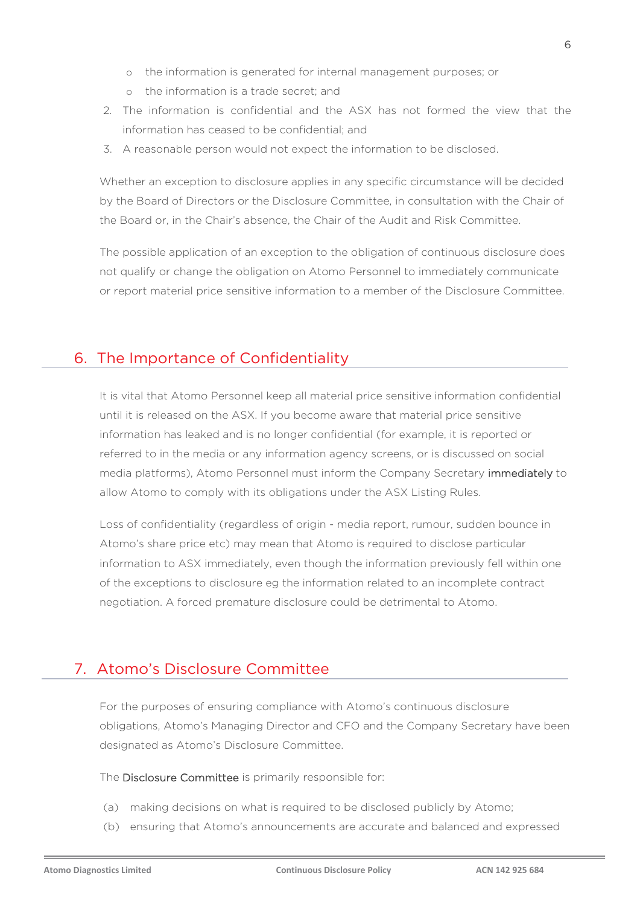- o the information is generated for internal management purposes; or
- o the information is a trade secret; and
- 2. The information is confidential and the ASX has not formed the view that the information has ceased to be confidential; and
- 3. A reasonable person would not expect the information to be disclosed.

Whether an exception to disclosure applies in any specific circumstance will be decided by the Board of Directors or the Disclosure Committee, in consultation with the Chair of the Board or, in the Chair's absence, the Chair of the Audit and Risk Committee.

The possible application of an exception to the obligation of continuous disclosure does not qualify or change the obligation on Atomo Personnel to immediately communicate or report material price sensitive information to a member of the Disclosure Committee.

# 6. The Importance of Confidentiality

It is vital that Atomo Personnel keep all material price sensitive information confidential until it is released on the ASX. If you become aware that material price sensitive information has leaked and is no longer confidential (for example, it is reported or referred to in the media or any information agency screens, or is discussed on social media platforms), Atomo Personnel must inform the Company Secretary immediately to allow Atomo to comply with its obligations under the ASX Listing Rules.

Loss of confidentiality (regardless of origin - media report, rumour, sudden bounce in Atomo's share price etc) may mean that Atomo is required to disclose particular information to ASX immediately, even though the information previously fell within one of the exceptions to disclosure eg the information related to an incomplete contract negotiation. A forced premature disclosure could be detrimental to Atomo.

# 7. Atomo's Disclosure Committee

For the purposes of ensuring compliance with Atomo's continuous disclosure obligations, Atomo's Managing Director and CFO and the Company Secretary have been designated as Atomo's Disclosure Committee.

The Disclosure Committee is primarily responsible for:

- (a) making decisions on what is required to be disclosed publicly by Atomo;
- (b) ensuring that Atomo's announcements are accurate and balanced and expressed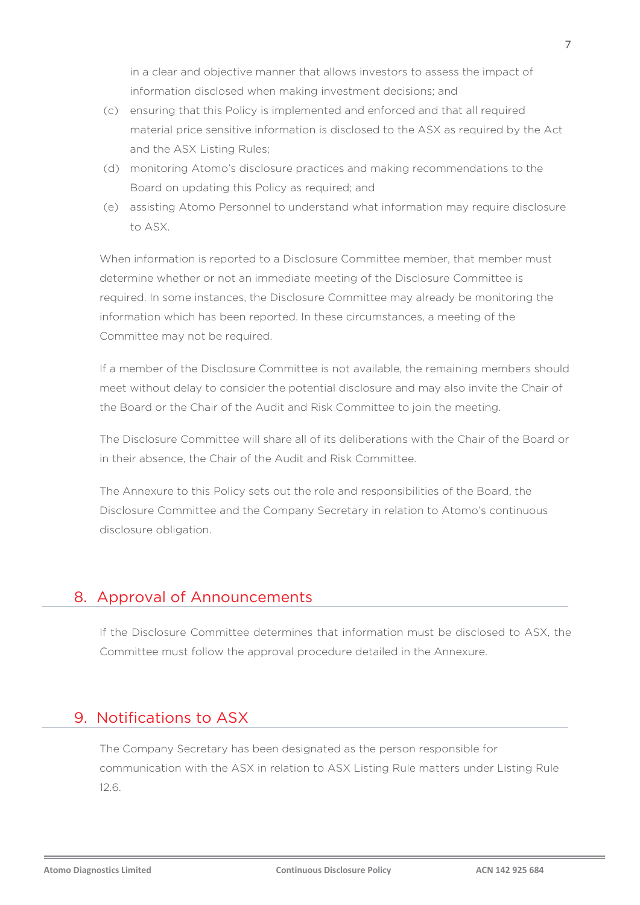in a clear and objective manner that allows investors to assess the impact of information disclosed when making investment decisions; and

- (c) ensuring that this Policy is implemented and enforced and that all required material price sensitive information is disclosed to the ASX as required by the Act and the ASX Listing Rules;
- (d) monitoring Atomo's disclosure practices and making recommendations to the Board on updating this Policy as required; and
- (e) assisting Atomo Personnel to understand what information may require disclosure to ASX.

When information is reported to a Disclosure Committee member, that member must determine whether or not an immediate meeting of the Disclosure Committee is required. In some instances, the Disclosure Committee may already be monitoring the information which has been reported. In these circumstances, a meeting of the Committee may not be required.

If a member of the Disclosure Committee is not available, the remaining members should meet without delay to consider the potential disclosure and may also invite the Chair of the Board or the Chair of the Audit and Risk Committee to join the meeting.

The Disclosure Committee will share all of its deliberations with the Chair of the Board or in their absence, the Chair of the Audit and Risk Committee.

The Annexure to this Policy sets out the role and responsibilities of the Board, the Disclosure Committee and the Company Secretary in relation to Atomo's continuous disclosure obligation.

# 8. Approval of Announcements

If the Disclosure Committee determines that information must be disclosed to ASX, the Committee must follow the approval procedure detailed in the Annexure.

# 9. Notifications to ASX

The Company Secretary has been designated as the person responsible for communication with the ASX in relation to ASX Listing Rule matters under Listing Rule 12.6.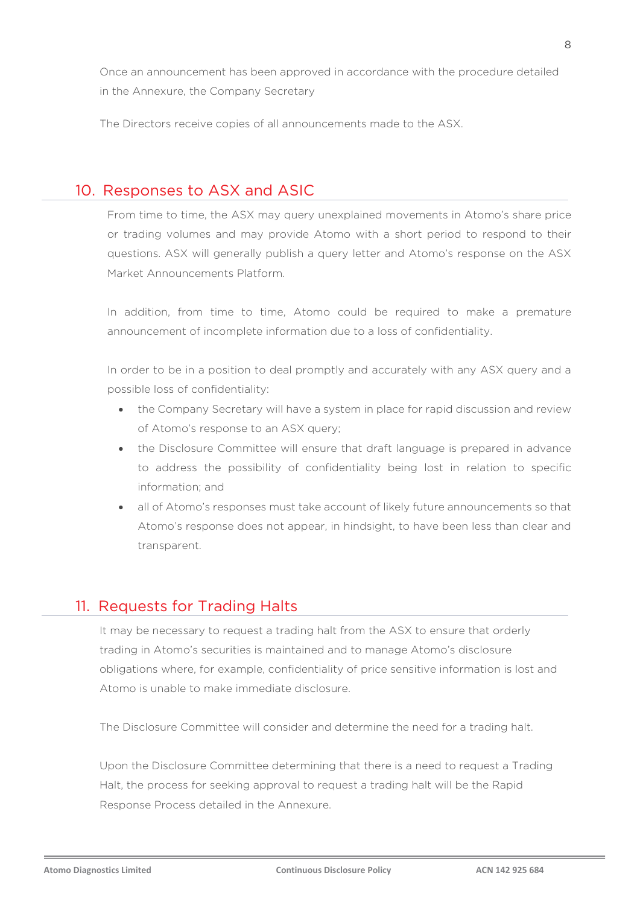Once an announcement has been approved in accordance with the procedure detailed in the Annexure, the Company Secretary

The Directors receive copies of all announcements made to the ASX.

#### 10. Responses to ASX and ASIC

From time to time, the ASX may query unexplained movements in Atomo's share price or trading volumes and may provide Atomo with a short period to respond to their questions. ASX will generally publish a query letter and Atomo's response on the ASX Market Announcements Platform.

In addition, from time to time, Atomo could be required to make a premature announcement of incomplete information due to a loss of confidentiality.

In order to be in a position to deal promptly and accurately with any ASX query and a possible loss of confidentiality:

- the Company Secretary will have a system in place for rapid discussion and review of Atomo's response to an ASX query;
- the Disclosure Committee will ensure that draft language is prepared in advance to address the possibility of confidentiality being lost in relation to specific information; and
- all of Atomo's responses must take account of likely future announcements so that Atomo's response does not appear, in hindsight, to have been less than clear and transparent.

## 11. Requests for Trading Halts

It may be necessary to request a trading halt from the ASX to ensure that orderly trading in Atomo's securities is maintained and to manage Atomo's disclosure obligations where, for example, confidentiality of price sensitive information is lost and Atomo is unable to make immediate disclosure.

The Disclosure Committee will consider and determine the need for a trading halt.

Upon the Disclosure Committee determining that there is a need to request a Trading Halt, the process for seeking approval to request a trading halt will be the Rapid Response Process detailed in the Annexure.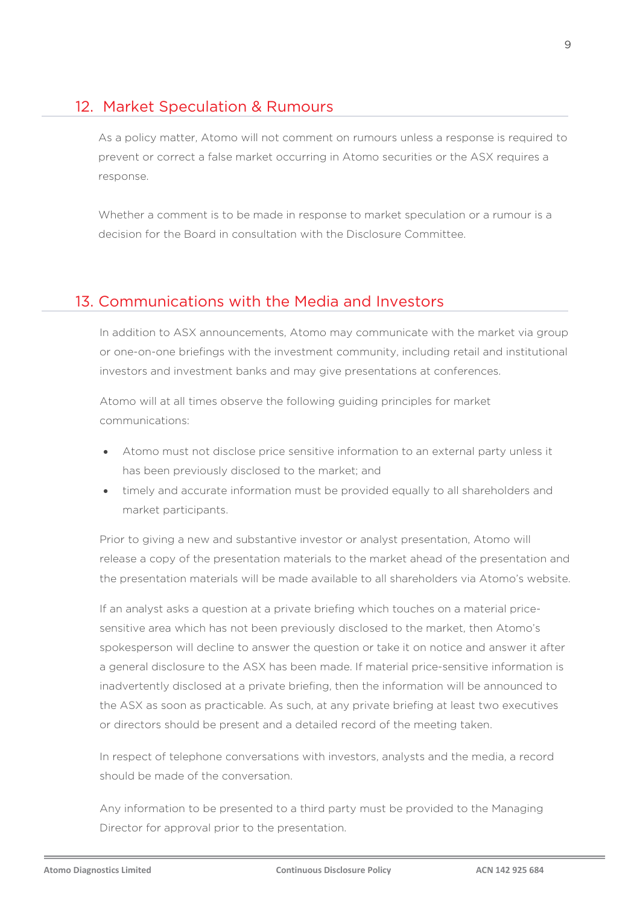## 12. Market Speculation & Rumours

As a policy matter, Atomo will not comment on rumours unless a response is required to prevent or correct a false market occurring in Atomo securities or the ASX requires a response.

Whether a comment is to be made in response to market speculation or a rumour is a decision for the Board in consultation with the Disclosure Committee.

## 13. Communications with the Media and Investors

In addition to ASX announcements, Atomo may communicate with the market via group or one-on-one briefings with the investment community, including retail and institutional investors and investment banks and may give presentations at conferences.

Atomo will at all times observe the following guiding principles for market communications:

- Atomo must not disclose price sensitive information to an external party unless it has been previously disclosed to the market; and
- timely and accurate information must be provided equally to all shareholders and market participants.

Prior to giving a new and substantive investor or analyst presentation, Atomo will release a copy of the presentation materials to the market ahead of the presentation and the presentation materials will be made available to all shareholders via Atomo's website.

If an analyst asks a question at a private briefing which touches on a material pricesensitive area which has not been previously disclosed to the market, then Atomo's spokesperson will decline to answer the question or take it on notice and answer it after a general disclosure to the ASX has been made. If material price-sensitive information is inadvertently disclosed at a private briefing, then the information will be announced to the ASX as soon as practicable. As such, at any private briefing at least two executives or directors should be present and a detailed record of the meeting taken.

In respect of telephone conversations with investors, analysts and the media, a record should be made of the conversation.

Any information to be presented to a third party must be provided to the Managing Director for approval prior to the presentation.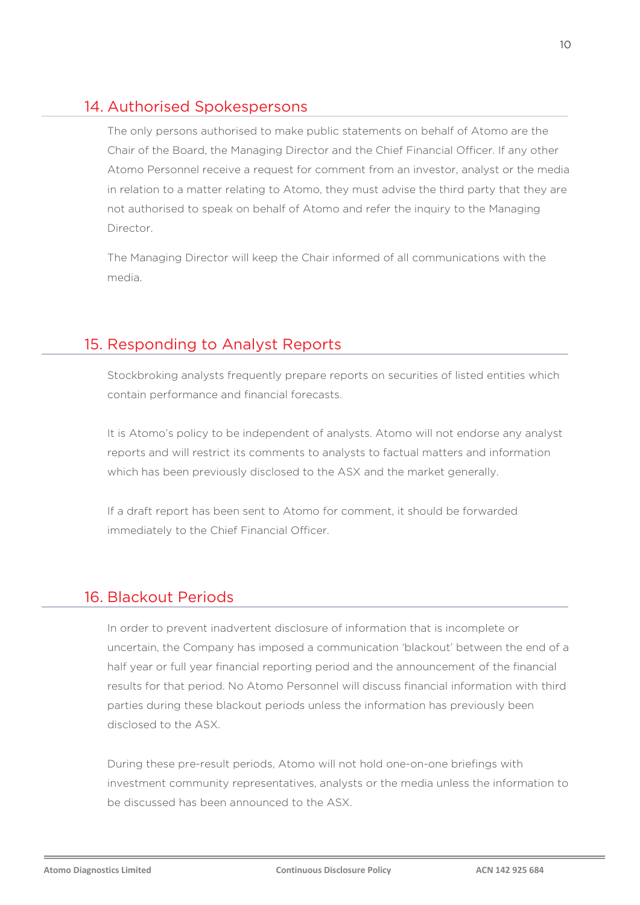# 14. Authorised Spokespersons

The only persons authorised to make public statements on behalf of Atomo are the Chair of the Board, the Managing Director and the Chief Financial Officer. If any other Atomo Personnel receive a request for comment from an investor, analyst or the media in relation to a matter relating to Atomo, they must advise the third party that they are not authorised to speak on behalf of Atomo and refer the inquiry to the Managing Director.

The Managing Director will keep the Chair informed of all communications with the media.

# 15. Responding to Analyst Reports

Stockbroking analysts frequently prepare reports on securities of listed entities which contain performance and financial forecasts.

It is Atomo's policy to be independent of analysts. Atomo will not endorse any analyst reports and will restrict its comments to analysts to factual matters and information which has been previously disclosed to the ASX and the market generally.

If a draft report has been sent to Atomo for comment, it should be forwarded immediately to the Chief Financial Officer.

# 16. Blackout Periods

In order to prevent inadvertent disclosure of information that is incomplete or uncertain, the Company has imposed a communication 'blackout' between the end of a half year or full year financial reporting period and the announcement of the financial results for that period. No Atomo Personnel will discuss financial information with third parties during these blackout periods unless the information has previously been disclosed to the ASX.

During these pre-result periods, Atomo will not hold one-on-one briefings with investment community representatives, analysts or the media unless the information to be discussed has been announced to the ASX.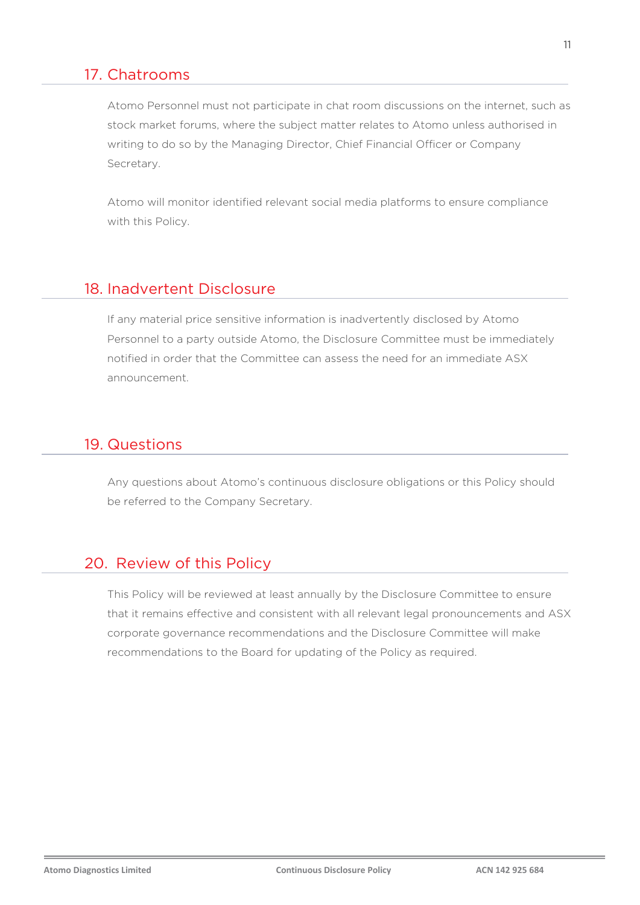#### 17. Chatrooms

Atomo Personnel must not participate in chat room discussions on the internet, such as stock market forums, where the subject matter relates to Atomo unless authorised in writing to do so by the Managing Director, Chief Financial Officer or Company Secretary.

Atomo will monitor identified relevant social media platforms to ensure compliance with this Policy.

#### 18. Inadvertent Disclosure

If any material price sensitive information is inadvertently disclosed by Atomo Personnel to a party outside Atomo, the Disclosure Committee must be immediately notified in order that the Committee can assess the need for an immediate ASX announcement.

## 19. Questions

Any questions about Atomo's continuous disclosure obligations or this Policy should be referred to the Company Secretary.

## 20. Review of this Policy

This Policy will be reviewed at least annually by the Disclosure Committee to ensure that it remains effective and consistent with all relevant legal pronouncements and ASX corporate governance recommendations and the Disclosure Committee will make recommendations to the Board for updating of the Policy as required.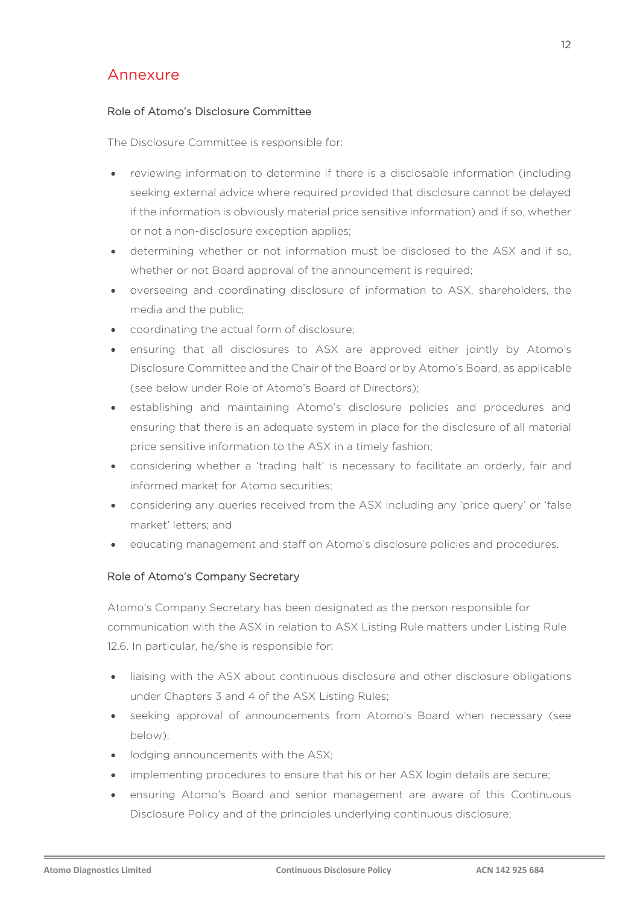# Annexure

#### Role of Atomo's Disclosure Committee

The Disclosure Committee is responsible for:

- reviewing information to determine if there is a disclosable information (including seeking external advice where required provided that disclosure cannot be delayed if the information is obviously material price sensitive information) and if so, whether or not a non-disclosure exception applies;
- determining whether or not information must be disclosed to the ASX and if so, whether or not Board approval of the announcement is required;
- overseeing and coordinating disclosure of information to ASX, shareholders, the media and the public;
- coordinating the actual form of disclosure;
- ensuring that all disclosures to ASX are approved either jointly by Atomo's Disclosure Committee and the Chair of the Board or by Atomo's Board, as applicable (see below under Role of Atomo's Board of Directors);
- establishing and maintaining Atomo's disclosure policies and procedures and ensuring that there is an adequate system in place for the disclosure of all material price sensitive information to the ASX in a timely fashion;
- considering whether a 'trading halt' is necessary to facilitate an orderly, fair and informed market for Atomo securities;
- considering any queries received from the ASX including any 'price query' or 'false market' letters; and
- educating management and staff on Atomo's disclosure policies and procedures.

#### Role of Atomo's Company Secretary

Atomo's Company Secretary has been designated as the person responsible for communication with the ASX in relation to ASX Listing Rule matters under Listing Rule 12.6. In particular, he/she is responsible for:

- liaising with the ASX about continuous disclosure and other disclosure obligations under Chapters 3 and 4 of the ASX Listing Rules;
- seeking approval of announcements from Atomo's Board when necessary (see below);
- lodging announcements with the ASX;
- implementing procedures to ensure that his or her ASX login details are secure;
- ensuring Atomo's Board and senior management are aware of this Continuous Disclosure Policy and of the principles underlying continuous disclosure;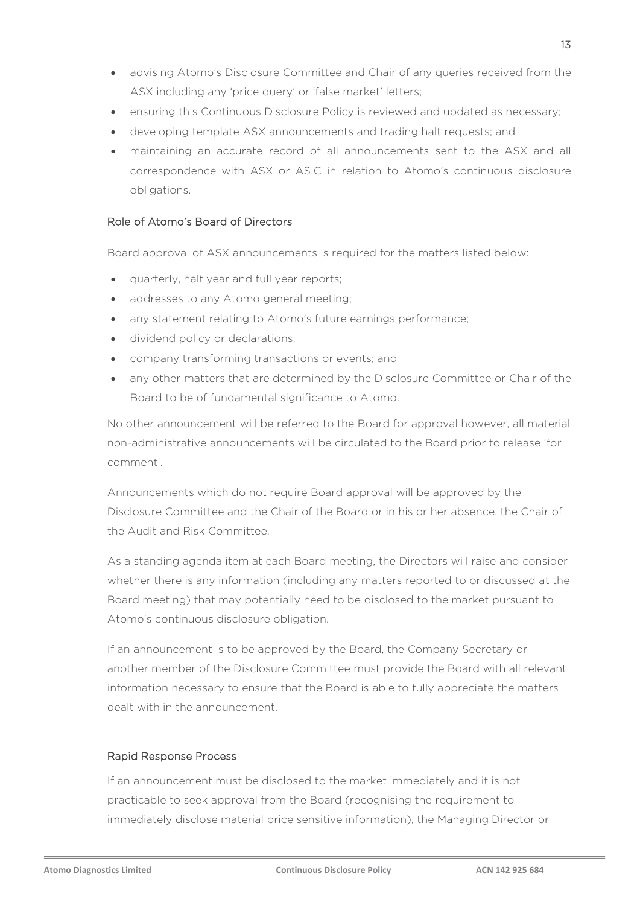- advising Atomo's Disclosure Committee and Chair of any queries received from the ASX including any 'price query' or 'false market' letters;
- ensuring this Continuous Disclosure Policy is reviewed and updated as necessary;
- developing template ASX announcements and trading halt requests; and
- maintaining an accurate record of all announcements sent to the ASX and all correspondence with ASX or ASIC in relation to Atomo's continuous disclosure obligations.

#### Role of Atomo's Board of Directors

Board approval of ASX announcements is required for the matters listed below:

- quarterly, half year and full year reports;
- addresses to any Atomo general meeting;
- any statement relating to Atomo's future earnings performance;
- dividend policy or declarations;
- company transforming transactions or events; and
- any other matters that are determined by the Disclosure Committee or Chair of the Board to be of fundamental significance to Atomo.

No other announcement will be referred to the Board for approval however, all material non-administrative announcements will be circulated to the Board prior to release 'for comment'.

Announcements which do not require Board approval will be approved by the Disclosure Committee and the Chair of the Board or in his or her absence, the Chair of the Audit and Risk Committee.

As a standing agenda item at each Board meeting, the Directors will raise and consider whether there is any information (including any matters reported to or discussed at the Board meeting) that may potentially need to be disclosed to the market pursuant to Atomo's continuous disclosure obligation.

If an announcement is to be approved by the Board, the Company Secretary or another member of the Disclosure Committee must provide the Board with all relevant information necessary to ensure that the Board is able to fully appreciate the matters dealt with in the announcement.

#### Rapid Response Process

If an announcement must be disclosed to the market immediately and it is not practicable to seek approval from the Board (recognising the requirement to immediately disclose material price sensitive information), the Managing Director or